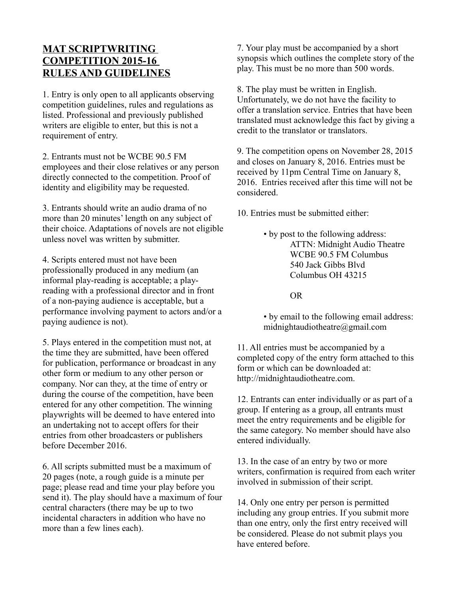## **MAT SCRIPTWRITING COMPETITION 2015-16 RULES AND GUIDELINES**

1. Entry is only open to all applicants observing competition guidelines, rules and regulations as listed. Professional and previously published writers are eligible to enter, but this is not a requirement of entry.

2. Entrants must not be WCBE 90.5 FM employees and their close relatives or any person directly connected to the competition. Proof of identity and eligibility may be requested.

3. Entrants should write an audio drama of no more than 20 minutes' length on any subject of their choice. Adaptations of novels are not eligible unless novel was written by submitter.

4. Scripts entered must not have been professionally produced in any medium (an informal play-reading is acceptable; a playreading with a professional director and in front of a non-paying audience is acceptable, but a performance involving payment to actors and/or a paying audience is not).

5. Plays entered in the competition must not, at the time they are submitted, have been offered for publication, performance or broadcast in any other form or medium to any other person or company. Nor can they, at the time of entry or during the course of the competition, have been entered for any other competition. The winning playwrights will be deemed to have entered into an undertaking not to accept offers for their entries from other broadcasters or publishers before December 2016.

6. All scripts submitted must be a maximum of 20 pages (note, a rough guide is a minute per page; please read and time your play before you send it). The play should have a maximum of four central characters (there may be up to two incidental characters in addition who have no more than a few lines each).

7. Your play must be accompanied by a short synopsis which outlines the complete story of the play. This must be no more than 500 words.

8. The play must be written in English. Unfortunately, we do not have the facility to offer a translation service. Entries that have been translated must acknowledge this fact by giving a credit to the translator or translators.

9. The competition opens on November 28, 2015 and closes on January 8, 2016. Entries must be received by 11pm Central Time on January 8, 2016. Entries received after this time will not be considered.

10. Entries must be submitted either:

• by post to the following address: ATTN: Midnight Audio Theatre WCBE 90.5 FM Columbus 540 Jack Gibbs Blvd Columbus OH 43215

OR

• by email to the following email address: midnightaudiotheatre@gmail.com

11. All entries must be accompanied by a completed copy of the entry form attached to this form or which can be downloaded at: http://midnightaudiotheatre.com.

12. Entrants can enter individually or as part of a group. If entering as a group, all entrants must meet the entry requirements and be eligible for the same category. No member should have also entered individually.

13. In the case of an entry by two or more writers, confirmation is required from each writer involved in submission of their script.

14. Only one entry per person is permitted including any group entries. If you submit more than one entry, only the first entry received will be considered. Please do not submit plays you have entered before.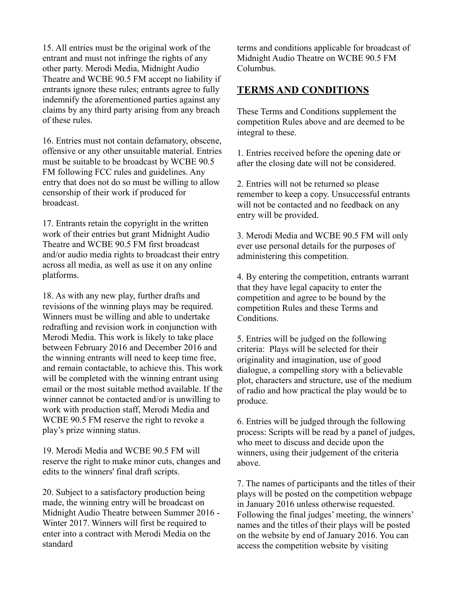15. All entries must be the original work of the entrant and must not infringe the rights of any other party. Merodi Media, Midnight Audio Theatre and WCBE 90.5 FM accept no liability if entrants ignore these rules; entrants agree to fully indemnify the aforementioned parties against any claims by any third party arising from any breach of these rules.

16. Entries must not contain defamatory, obscene, offensive or any other unsuitable material. Entries must be suitable to be broadcast by WCBE 90.5 FM following FCC rules and guidelines. Any entry that does not do so must be willing to allow censorship of their work if produced for broadcast.

17. Entrants retain the copyright in the written work of their entries but grant Midnight Audio Theatre and WCBE 90.5 FM first broadcast and/or audio media rights to broadcast their entry across all media, as well as use it on any online platforms.

18. As with any new play, further drafts and revisions of the winning plays may be required. Winners must be willing and able to undertake redrafting and revision work in conjunction with Merodi Media. This work is likely to take place between February 2016 and December 2016 and the winning entrants will need to keep time free, and remain contactable, to achieve this. This work will be completed with the winning entrant using email or the most suitable method available. If the winner cannot be contacted and/or is unwilling to work with production staff, Merodi Media and WCBE 90.5 FM reserve the right to revoke a play's prize winning status.

19. Merodi Media and WCBE 90.5 FM will reserve the right to make minor cuts, changes and edits to the winners' final draft scripts.

20. Subject to a satisfactory production being made, the winning entry will be broadcast on Midnight Audio Theatre between Summer 2016 - Winter 2017. Winners will first be required to enter into a contract with Merodi Media on the standard

terms and conditions applicable for broadcast of Midnight Audio Theatre on WCBE 90.5 FM Columbus.

## **TERMS AND CONDITIONS**

These Terms and Conditions supplement the competition Rules above and are deemed to be integral to these.

1. Entries received before the opening date or after the closing date will not be considered.

2. Entries will not be returned so please remember to keep a copy. Unsuccessful entrants will not be contacted and no feedback on any entry will be provided.

3. Merodi Media and WCBE 90.5 FM will only ever use personal details for the purposes of administering this competition.

4. By entering the competition, entrants warrant that they have legal capacity to enter the competition and agree to be bound by the competition Rules and these Terms and Conditions.

5. Entries will be judged on the following criteria: Plays will be selected for their originality and imagination, use of good dialogue, a compelling story with a believable plot, characters and structure, use of the medium of radio and how practical the play would be to produce.

6. Entries will be judged through the following process: Scripts will be read by a panel of judges, who meet to discuss and decide upon the winners, using their judgement of the criteria above.

7. The names of participants and the titles of their plays will be posted on the competition webpage in January 2016 unless otherwise requested. Following the final judges' meeting, the winners' names and the titles of their plays will be posted on the website by end of January 2016. You can access the competition website by visiting